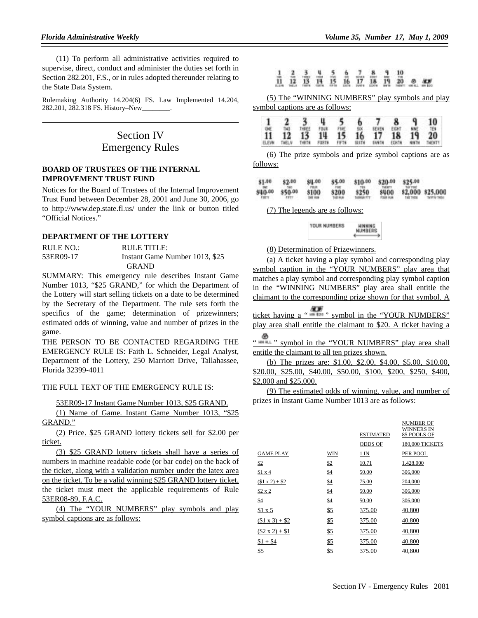(11) To perform all administrative activities required to supervise, direct, conduct and administer the duties set forth in Section 282.201, F.S., or in rules adopted thereunder relating to the State Data System.

Rulemaking Authority 14.204(6) FS. Law Implemented 14.204, 282.201, 282.318 FS. History–New\_\_\_\_\_\_\_\_.

# Section IV Emergency Rules

### **BOARD OF TRUSTEES OF THE INTERNAL IMPROVEMENT TRUST FUND**

Notices for the Board of Trustees of the Internal Improvement Trust Fund between December 28, 2001 and June 30, 2006, go to http://www.dep.state.fl.us/ under the link or button titled "Official Notices."

# **DEPARTMENT OF THE LOTTERY**

| RULE NO.: | RULE TITLE:                    |
|-----------|--------------------------------|
| 53ER09-17 | Instant Game Number 1013, \$25 |
|           | <b>GRAND</b>                   |

SUMMARY: This emergency rule describes Instant Game Number 1013, "\$25 GRAND," for which the Department of the Lottery will start selling tickets on a date to be determined by the Secretary of the Department. The rule sets forth the specifics of the game; determination of prizewinners; estimated odds of winning, value and number of prizes in the game.

THE PERSON TO BE CONTACTED REGARDING THE EMERGENCY RULE IS: Faith L. Schneider, Legal Analyst, Department of the Lottery, 250 Marriott Drive, Tallahassee, Florida 32399-4011

THE FULL TEXT OF THE EMERGENCY RULE IS:

53ER09-17 Instant Game Number 1013, \$25 GRAND.

(1) Name of Game. Instant Game Number 1013, "\$25 GRAND."

(2) Price. \$25 GRAND lottery tickets sell for \$2.00 per ticket.

(3) \$25 GRAND lottery tickets shall have a series of numbers in machine readable code (or bar code) on the back of the ticket, along with a validation number under the latex area on the ticket. To be a valid winning \$25 GRAND lottery ticket, the ticket must meet the applicable requirements of Rule 53ER08-89, F.A.C.

(4) The "YOUR NUMBERS" play symbols and play symbol captions are as follows:

# $\frac{1}{11}$   $\frac{2}{12}$   $\frac{3}{13}$   $\frac{4}{14}$   $\frac{5}{15}$   $\frac{6}{16}$   $\frac{7}{17}$   $\frac{8}{18}$   $\frac{9}{14}$   $\frac{10}{20}$

(5) The "WINNING NUMBERS" play symbols and play symbol captions are as follows:

|                 |        |        |       |      |              |       | 8            | q            | 10      |
|-----------------|--------|--------|-------|------|--------------|-------|--------------|--------------|---------|
| $\overline{11}$ | T40    | THREE  |       |      |              | SEVEN | EIGHT        | NNE          | TEN.    |
|                 | 12     | 13     | 14    | 15   | 16           | 17 18 |              | 19           | 20      |
| <b>FLEVW</b>    | THEL.V | THR 76 | FORTH | FFTE | <b>SECTH</b> | SVNTH | <b>EDMIN</b> | <b>GISTM</b> | THENTY. |

(6) The prize symbols and prize symbol captions are as follows:

| \$1.00                 | \$2.00                  | \$4.00<br><b>FEJ</b>   | \$5.00 | \$10.00 | \$20.00 | \$25.00 |                  |
|------------------------|-------------------------|------------------------|--------|---------|---------|---------|------------------|
| 840.00<br><b>FIRTH</b> | \$50.00<br><b>FIFTY</b> | \$100<br><b>WE ROW</b> | \$200  | \$250   | 8400    |         | \$2,000 \$25,000 |

(7) The legends are as follows:

YOUR NUMBERS **HINNING**<br>Numbers

### (8) Determination of Prizewinners.

(a) A ticket having a play symbol and corresponding play symbol caption in the "YOUR NUMBERS" play area that matches a play symbol and corresponding play symbol caption in the "WINNING NUMBERS" play area shall entitle the claimant to the corresponding prize shown for that symbol. A

ticket having a "  $\frac{d}{dx}$ " symbol in the "YOUR NUMBERS" play area shall entitle the claimant to \$20. A ticket having a

" " symbol in the "YOUR NUMBERS" play area shall entitle the claimant to all ten prizes shown.

(b) The prizes are: \$1.00, \$2.00, \$4.00, \$5.00, \$10.00, \$20.00, \$25.00, \$40.00, \$50.00, \$100, \$200, \$250, \$400, \$2,000 and \$25,000.

(9) The estimated odds of winning, value, and number of prizes in Instant Game Number 1013 are as follows:

|                        |     | <b>ESTIMATED</b> | NUMBER OF<br>WINNERS IN<br>85 POOLS OF |
|------------------------|-----|------------------|----------------------------------------|
|                        |     | <b>ODDS OF</b>   | 180,000 TICKETS                        |
| <b>GAME PLAY</b>       | WIN | $1 \text{IN}$    | PER POOL                               |
| \$2                    | \$2 | 10.71            | 1,428,000                              |
| \$1 x 4                | \$4 | 50.00            | 306,000                                |
| $( $1 \times 2) + $2$  | \$4 | 75.00            | 204,000                                |
| \$2 x 2                | \$4 | 50.00            | 306,000                                |
| \$4                    | \$4 | 50.00            | 306,000                                |
| \$1 x 5                | \$5 | 375.00           | 40,800                                 |
| $( $1 \times 3) + $2$  | \$5 | 375.00           | 40,800                                 |
| $(\$2 \times 2) + \$1$ | \$5 | 375.00           | 40,800                                 |
| $$1 + $4$              | \$5 | 375.00           | 40,800                                 |
| \$5                    | \$5 | 375.00           | 40,800                                 |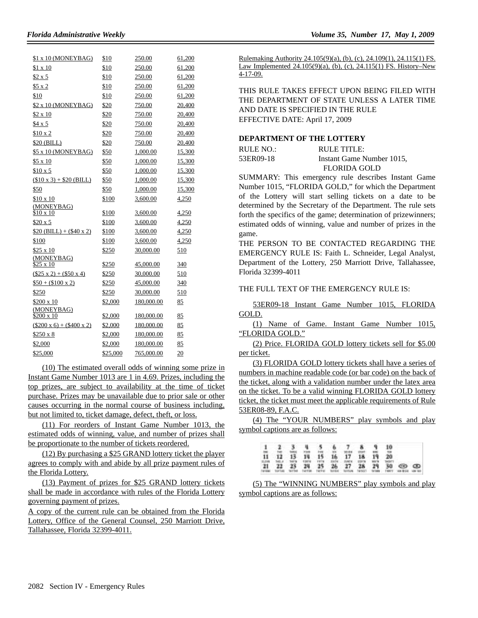| \$1 x 10 (MONEYBAG)                   | \$10     | 250.00     | 61,200 |
|---------------------------------------|----------|------------|--------|
| $$1 \times 10$                        | \$10     | 250.00     | 61,200 |
| \$2 x 5                               | \$10     | 250.00     | 61,200 |
| \$5 x 2                               | \$10     | 250.00     | 61,200 |
| \$10                                  | \$10     | 250.00     | 61,200 |
| \$2 x 10 (MONEYBAG)                   | \$20     | 750.00     | 20,400 |
| $$2 \times 10$                        | \$20     | 750.00     | 20,400 |
| \$4 x 5                               | \$20     | 750.00     | 20,400 |
| \$10 x 2                              | \$20     | 750.00     | 20,400 |
| \$20 (BILL)                           | \$20     | 750.00     | 20,400 |
| \$5 x 10 (MONEYBAG)                   | \$50     | 1,000.00   | 15,300 |
| $$5 \times 10$                        | \$50     | 1,000.00   | 15,300 |
| $$10 \times 5$                        | \$50     | 1,000.00   | 15,300 |
| $($10 \times 3) + $20$ (BILL)         | \$50     | 1,000.00   | 15,300 |
| \$50                                  | \$50     | 1,000.00   | 15,300 |
| $$10 \times 10$                       | \$100    | 3,600.00   | 4,250  |
| (MONEYBAG)                            |          |            |        |
| $$10 \times 10$                       | \$100    | 3,600.00   | 4,250  |
| $$20 \times 5$                        | \$100    | 3,600.00   | 4,250  |
| $$20(BILL) + ($40 x 2)$               | \$100    | 3,600.00   | 4,250  |
| \$100                                 | \$100    | 3,600.00   | 4,250  |
| $$25 \times 10$                       | \$250    | 30,000.00  | 510    |
| (MONEYBAG)<br>$$25 \times 10$         | \$250    | 45,000.00  | 340    |
|                                       |          |            |        |
| $($25 \times 2) + ($50 \times 4)$     | \$250    | 30,000.00  | 510    |
| $$50 + ($100 x 2)$                    | \$250    | 45,000.00  | 340    |
| \$250                                 | \$250    | 30,000.00  | 510    |
| \$200 x 10                            | \$2,000  | 180,000.00 | 85     |
| (MONEYBAG)<br>\$200 x 10              | \$2,000  | 180,000.00 | 85     |
| $(\$200 \times 6) + (\$400 \times 2)$ | \$2,000  | 180,000.00 | 85     |
| $$250 \times 8$                       | \$2,000  | 180,000.00 | 85     |
| \$2,000                               | \$2,000  | 180,000.00 | 85     |
| \$25,000                              | \$25,000 | 765,000.00 | 20     |

(10) The estimated overall odds of winning some prize in Instant Game Number 1013 are 1 in 4.69. Prizes, including the top prizes, are subject to availability at the time of ticket purchase. Prizes may be unavailable due to prior sale or other causes occurring in the normal course of business including, but not limited to, ticket damage, defect, theft, or loss.

(11) For reorders of Instant Game Number 1013, the estimated odds of winning, value, and number of prizes shall be proportionate to the number of tickets reordered.

(12) By purchasing a \$25 GRAND lottery ticket the player agrees to comply with and abide by all prize payment rules of the Florida Lottery.

(13) Payment of prizes for \$25 GRAND lottery tickets shall be made in accordance with rules of the Florida Lottery governing payment of prizes.

A copy of the current rule can be obtained from the Florida Lottery, Office of the General Counsel, 250 Marriott Drive, Tallahassee, Florida 32399-4011.

Rulemaking Authority 24.105(9)(a), (b), (c), 24.109(1), 24.115(1) FS. Law Implemented 24.105(9)(a), (b), (c), 24.115(1) FS. History–New 4-17-09.

THIS RULE TAKES EFFECT UPON BEING FILED WITH THE DEPARTMENT OF STATE UNLESS A LATER TIME AND DATE IS SPECIFIED IN THE RULE EFFECTIVE DATE: April 17, 2009

## **DEPARTMENT OF THE LOTTERY**

| RULE NO.: | RULE TITLE:               |
|-----------|---------------------------|
| 53ER09-18 | Instant Game Number 1015, |
|           | <b>FLORIDA GOLD</b>       |

SUMMARY: This emergency rule describes Instant Game Number 1015, "FLORIDA GOLD," for which the Department of the Lottery will start selling tickets on a date to be determined by the Secretary of the Department. The rule sets forth the specifics of the game; determination of prizewinners; estimated odds of winning, value and number of prizes in the game.

THE PERSON TO BE CONTACTED REGARDING THE EMERGENCY RULE IS: Faith L. Schneider, Legal Analyst, Department of the Lottery, 250 Marriott Drive, Tallahassee, Florida 32399-4011

THE FULL TEXT OF THE EMERGENCY RULE IS:

53ER09-18 Instant Game Number 1015, FLORIDA GOLD.

(1) Name of Game. Instant Game Number 1015, "FLORIDA GOLD."

(2) Price. FLORIDA GOLD lottery tickets sell for \$5.00 per ticket.

(3) FLORIDA GOLD lottery tickets shall have a series of numbers in machine readable code (or bar code) on the back of the ticket, along with a validation number under the latex area on the ticket. To be a valid winning FLORIDA GOLD lottery ticket, the ticket must meet the applicable requirements of Rule 53ER08-89, F.A.C.

(4) The "YOUR NUMBERS" play symbols and play symbol captions are as follows:

|  |  |  | 1 2 3 4 5 6 7 8 9 10                                                                                                                                                                                                     |  |                                                                                                                     |  |
|--|--|--|--------------------------------------------------------------------------------------------------------------------------------------------------------------------------------------------------------------------------|--|---------------------------------------------------------------------------------------------------------------------|--|
|  |  |  | $\overline{11}$ $\overline{12}$ $\overline{13}$ $\overline{14}$ $\overline{15}$ $\overline{16}$ $\overline{17}$ $\overline{18}$ $\overline{19}$ $\overline{20}$<br>11,000 SALA SATA 12078 FRTS SKEV SVEV 12079 WER SAINT |  |                                                                                                                     |  |
|  |  |  |                                                                                                                                                                                                                          |  | 21 22 23 24 25 26 27 28 29 30 09 09<br>TWING TUFTED WITH THITSE, THIT'S TUTES' TUTES, TWING TWING THEIT WEIGH HE WE |  |

(5) The "WINNING NUMBERS" play symbols and play symbol captions are as follows: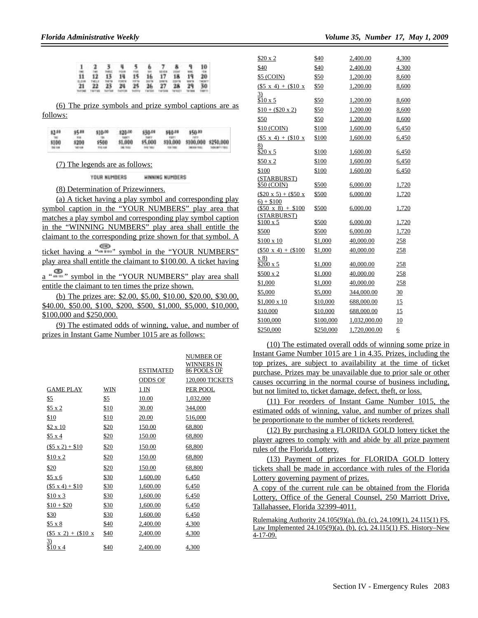|       | $1 \quad 2$             |                   | <b>FWE</b>   | 6. | 7.8               | 2 that | ۹   | 10                             |
|-------|-------------------------|-------------------|--------------|----|-------------------|--------|-----|--------------------------------|
|       |                         | 11 12 13 14 15 16 |              |    | 17 18 19          |        | MM. | 10B<br>20 <sub>1</sub><br>WOOT |
| ELTVK | <b>WELF</b><br>21 22 23 | 12879             | <b>TIFTS</b> |    | 24 25 26 27 28 29 |        |     | 30<br>THEFTS                   |

(6) The prize symbols and prize symbol captions are as follows:

| \$2.00 | \$5.00<br>11.14    | \$10.00          | \$20.00<br>uer | \$30.00                   | 540.00 | \$50.00                      |  |
|--------|--------------------|------------------|----------------|---------------------------|--------|------------------------------|--|
| \$100  | \$200<br>tet rolls | \$500<br>110,108 | \$1,000        | \$5,000<br><b>PE 1951</b> |        | \$10,000 \$100,000 \$250,000 |  |

(7) The legends are as follows:

YOUR NUMBERS HINNING NUMBERS

(8) Determination of Prizewinners.

(a) A ticket having a play symbol and corresponding play symbol caption in the "YOUR NUMBERS" play area that matches a play symbol and corresponding play symbol caption in the "WINNING NUMBERS" play area shall entitle the claimant to the corresponding prize shown for that symbol. A ticket having a " " " symbol in the "YOUR NUMBERS" play area shall entitle the claimant to \$100.00. A ticket having a " " " " symbol in the "YOUR NUMBERS" play area shall entitle the claimant to ten times the prize shown.

(b) The prizes are: \$2.00, \$5.00, \$10.00, \$20.00, \$30.00, \$40.00, \$50.00, \$100, \$200, \$500, \$1,000, \$5,000, \$10,000, \$100,000 and \$250,000.

(9) The estimated odds of winning, value, and number of prizes in Instant Game Number 1015 are as follows:

|                               |            | <b>ESTIMATED</b> | <b>NUMBER OF</b><br>WINNERS IN<br>86 POOLS OF |
|-------------------------------|------------|------------------|-----------------------------------------------|
|                               |            | <b>ODDS OF</b>   | 120,000 TICKETS                               |
| <b>GAME PLAY</b>              | <b>WIN</b> | $1$ IN           | PER POOL                                      |
| \$5                           | \$5        | 10.00            | 1,032,000                                     |
| \$5 x 2                       | \$10       | 30.00            | 344,000                                       |
| \$10                          | \$10       | 20.00            | 516,000                                       |
| $$2 \times 10$                | \$20       | 150.00           | 68,800                                        |
| \$5 x 4                       | \$20       | 150.00           | 68,800                                        |
| $($5 x 2) + $10$              | \$20       | 150.00           | 68,800                                        |
| $$10 \times 2$                | \$20       | 150.00           | 68,800                                        |
| \$20                          | \$20       | 150.00           | 68,800                                        |
| \$5 x6                        | \$30       | 1,600.00         | 6,450                                         |
| $($5 x 4) + $10$              | \$30       | 1,600.00         | 6,450                                         |
| \$10 x 3                      | \$30       | 1,600.00         | 6,450                                         |
| $$10 + $20$                   | \$30       | 1,600.00         | 6,450                                         |
| \$30                          | \$30       | 1,600.00         | 6,450                                         |
| $$5 \times 8$                 | \$40       | 2,400.00         | 4,300                                         |
| $($5 \times 2) + ($10 \times$ | \$40       | 2,400.00         | 4,300                                         |
| 3)<br>\$10 x4                 | \$40       | 2,400.00         | 4,300                                         |

| Volume 35, Number 17, May 1, 2009 |  |  |  |  |
|-----------------------------------|--|--|--|--|
|-----------------------------------|--|--|--|--|

| \$20 x 2                                 | \$40      | 2,400.00     | 4,300 |
|------------------------------------------|-----------|--------------|-------|
| \$40                                     | \$40      | 2,400.00     | 4,300 |
| \$5 (COIN)                               | \$50      | 1,200.00     | 8,600 |
| $($5 \times 4) + ($10 \times$            | \$50      | 1,200.00     | 8,600 |
| $\overline{3}$                           |           |              |       |
| \$10 x 5                                 | \$50      | 1,200.00     | 8,600 |
| $$10 + ($20 \times 2)$                   | \$50      | 1,200.00     | 8,600 |
| \$50                                     | \$50      | 1,200.00     | 8,600 |
| \$10 (COIN)                              | \$100     | 1,600.00     | 6,450 |
| $($5 \times 4) + ($10 \times$            | \$100     | 1,600.00     | 6,450 |
| 8)<br>$$20 \times 5$                     | \$100     | 1,600.00     |       |
|                                          |           |              | 6,450 |
| \$50x2                                   | \$100     | 1,600.00     | 6,450 |
| \$100                                    | \$100     | 1,600.00     | 6,450 |
| (STARBURST)                              |           |              |       |
| \$50 (COIN)                              | \$500     | 6,000.00     | 1,720 |
| $($20 \times 5) + ($50 \times$           | \$500     | 6,000.00     | 1,720 |
| $6) + $100$<br>$(\$50 \times 8) + \$100$ | \$500     | 6,000.00     | 1,720 |
| (STARBURST)                              |           |              |       |
| $$100 \times 5$                          | \$500     | 6,000.00     | 1,720 |
| \$500                                    | \$500     | 6,000.00     | 1,720 |
| $$100 \times 10$                         | \$1,000   | 40,000.00    | 258   |
| $(\$50 x 4) + \$100$                     | \$1,000   | 40,000.00    | 258   |
| x 8)<br>$$200 \times 5$                  | \$1,000   | 40,000.00    | 258   |
| $$500 \times 2$                          | \$1,000   | 40,000.00    | 258   |
| \$1,000                                  | \$1,000   | 40,000.00    | 258   |
| \$5,000                                  | \$5,000   | 344,000.00   | 30    |
| $$1,000 \times 10$                       | \$10,000  | 688,000.00   | 15    |
| \$10,000                                 | \$10,000  | 688,000.00   | 15    |
| \$100,000                                | \$100,000 | 1,032,000.00 | 10    |
| \$250,000                                | \$250,000 | 1,720,000.00 | 6     |

(10) The estimated overall odds of winning some prize in Instant Game Number 1015 are 1 in 4.35. Prizes, including the top prizes, are subject to availability at the time of ticket purchase. Prizes may be unavailable due to prior sale or other causes occurring in the normal course of business including, but not limited to, ticket damage, defect, theft, or loss.

(11) For reorders of Instant Game Number 1015, the estimated odds of winning, value, and number of prizes shall be proportionate to the number of tickets reordered.

(12) By purchasing a FLORIDA GOLD lottery ticket the player agrees to comply with and abide by all prize payment rules of the Florida Lottery.

(13) Payment of prizes for FLORIDA GOLD lottery tickets shall be made in accordance with rules of the Florida Lottery governing payment of prizes.

A copy of the current rule can be obtained from the Florida Lottery, Office of the General Counsel, 250 Marriott Drive, Tallahassee, Florida 32399-4011.

Rulemaking Authority 24.105(9)(a), (b), (c), 24.109(1), 24.115(1) FS. Law Implemented 24.105(9)(a), (b), (c), 24.115(1) FS. History–New 4-17-09.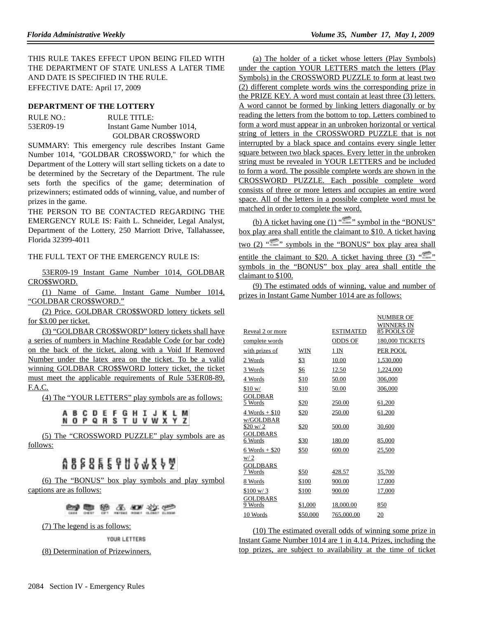THIS RULE TAKES EFFECT UPON BEING FILED WITH THE DEPARTMENT OF STATE UNLESS A LATER TIME AND DATE IS SPECIFIED IN THE RULE. EFFECTIVE DATE: April 17, 2009

### **DEPARTMENT OF THE LOTTERY**

| RULE NO.: | RULE TITLE:               |
|-----------|---------------------------|
| 53ER09-19 | Instant Game Number 1014, |
|           | <b>GOLDBAR CROSSWORD</b>  |

SUMMARY: This emergency rule describes Instant Game Number 1014, "GOLDBAR CRO\$\$WORD," for which the Department of the Lottery will start selling tickets on a date to be determined by the Secretary of the Department. The rule sets forth the specifics of the game; determination of prizewinners; estimated odds of winning, value, and number of prizes in the game.

THE PERSON TO BE CONTACTED REGARDING THE EMERGENCY RULE IS: Faith L. Schneider, Legal Analyst, Department of the Lottery, 250 Marriott Drive, Tallahassee, Florida 32399-4011

### THE FULL TEXT OF THE EMERGENCY RULE IS:

53ER09-19 Instant Game Number 1014, GOLDBAR CRO\$\$WORD.

(1) Name of Game. Instant Game Number 1014, "GOLDBAR CRO\$\$WORD."

(2) Price. GOLDBAR CRO\$\$WORD lottery tickets sell for \$3.00 per ticket.

(3) "GOLDBAR CRO\$\$WORD" lottery tickets shall have a series of numbers in Machine Readable Code (or bar code) on the back of the ticket, along with a Void If Removed Number under the latex area on the ticket. To be a valid winning GOLDBAR CRO\$\$WORD lottery ticket, the ticket must meet the applicable requirements of Rule 53ER08-89, F.A.C.

(4) The "YOUR LETTERS" play symbols are as follows:

# **ABCDEFGHIJKLM NOPQRSTUVWXYZ**

(5) The "CROSSWORD PUZZLE" play symbols are as follows:

# 888859138849

(6) The "BONUS" box play symbols and play symbol captions are as follows:

**塑果浆系型效果** 

(7) The legend is as follows:

YOUR LETTERS

(8) Determination of Prizewinners.

(a) The holder of a ticket whose letters (Play Symbols) under the caption YOUR LETTERS match the letters (Play Symbols) in the CROSSWORD PUZZLE to form at least two (2) different complete words wins the corresponding prize in the PRIZE KEY. A word must contain at least three (3) letters. A word cannot be formed by linking letters diagonally or by reading the letters from the bottom to top. Letters combined to form a word must appear in an unbroken horizontal or vertical string of letters in the CROSSWORD PUZZLE that is not interrupted by a black space and contains every single letter square between two black spaces. Every letter in the unbroken string must be revealed in YOUR LETTERS and be included to form a word. The possible complete words are shown in the CROSSWORD PUZZLE. Each possible complete word consists of three or more letters and occupies an entire word space. All of the letters in a possible complete word must be matched in order to complete the word.

(b) A ticket having one (1) " $\cdots$ " symbol in the "BONUS" box play area shall entitle the claimant to \$10. A ticket having two (2) " " " symbols in the "BONUS" box play area shall entitle the claimant to \$20. A ticket having three  $(3)$  " symbols in the "BONUS" box play area shall entitle the claimant to \$100.

(9) The estimated odds of winning, value and number of prizes in Instant Game Number 1014 are as follows:

| Reveal 2 or more           |          | <b>ESTIMATED</b> | <b>NUMBER OF</b><br>WINNERS IN<br>85 POOLS OF |
|----------------------------|----------|------------------|-----------------------------------------------|
| complete words             |          | <b>ODDS OF</b>   | <b>180,000 TICKETS</b>                        |
| with prizes of             | WIN      | 1 IN             | PER POOL                                      |
| 2 Words                    | \$3      | 10.00            | 1,530,000                                     |
| 3 Words                    | \$6      | 12.50            | 1,224,000                                     |
| 4 Words                    | \$10     | 50.00            | 306,000                                       |
| \$10 w/                    | \$10     | 50.00            | 306,000                                       |
| <b>GOLDBAR</b><br>5 Words  | \$20     | 250.00           | 61,200                                        |
| $4$ Words + \$10           | \$20     | 250.00           | 61,200                                        |
| w/GOLDBAR<br>\$20 w/2      | \$20     | 500.00           | 30,600                                        |
| <b>GOLDBARS</b><br>6 Words | \$30     | 180.00           | 85,000                                        |
| $6$ Words + \$20           | \$50     | 600.00           | 25,500                                        |
| w/2<br>GOLDBARS            |          |                  |                                               |
| 7 Words                    | \$50     | 428.57           | 35,700                                        |
| 8 Words                    | \$100    | 900.00           | 17,000                                        |
| $$100 \text{ w}/3$         | \$100    | 900.00           | 17,000                                        |
| <b>GOLDBARS</b><br>9 Words | \$1,000  | 18,000.00        | 850                                           |
| 10 Words                   | \$50,000 | 765,000.00       | 20                                            |

(10) The estimated overall odds of winning some prize in Instant Game Number 1014 are 1 in 4.14. Prizes, including the top prizes, are subject to availability at the time of ticket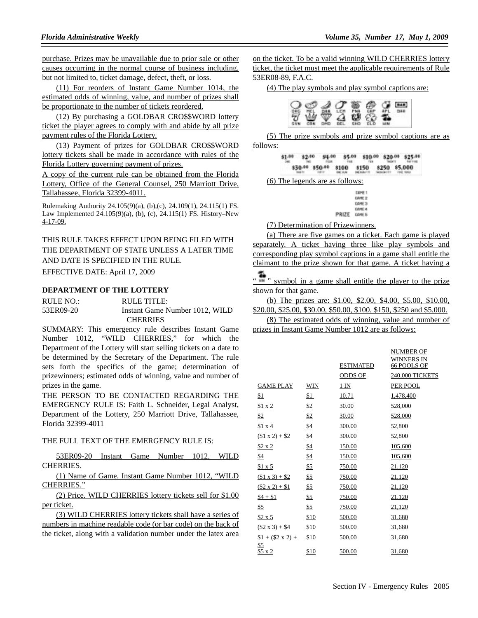purchase. Prizes may be unavailable due to prior sale or other causes occurring in the normal course of business including, but not limited to, ticket damage, defect, theft, or loss.

(11) For reorders of Instant Game Number 1014, the estimated odds of winning, value, and number of prizes shall be proportionate to the number of tickets reordered.

(12) By purchasing a GOLDBAR CRO\$\$WORD lottery ticket the player agrees to comply with and abide by all prize payment rules of the Florida Lottery.

(13) Payment of prizes for GOLDBAR CRO\$\$WORD lottery tickets shall be made in accordance with rules of the Florida Lottery governing payment of prizes.

A copy of the current rule can be obtained from the Florida Lottery, Office of the General Counsel, 250 Marriott Drive, Tallahassee, Florida 32399-4011.

Rulemaking Authority 24.105(9)(a), (b),(c), 24.109(1), 24.115(1) FS. Law Implemented 24.105(9)(a), (b), (c), 24.115(1) FS. History–New 4-17-09.

THIS RULE TAKES EFFECT UPON BEING FILED WITH THE DEPARTMENT OF STATE UNLESS A LATER TIME AND DATE IS SPECIFIED IN THE RULE.

EFFECTIVE DATE: April 17, 2009

### **DEPARTMENT OF THE LOTTERY**

| RULE NO.: | RULE TITLE:                    |
|-----------|--------------------------------|
| 53ER09-20 | Instant Game Number 1012, WILD |
|           | <b>CHERRIES</b>                |

SUMMARY: This emergency rule describes Instant Game Number 1012, "WILD CHERRIES," for which the Department of the Lottery will start selling tickets on a date to be determined by the Secretary of the Department. The rule sets forth the specifics of the game; determination of prizewinners; estimated odds of winning, value and number of prizes in the game.

THE PERSON TO BE CONTACTED REGARDING THE EMERGENCY RULE IS: Faith L. Schneider, Legal Analyst, Department of the Lottery, 250 Marriott Drive, Tallahassee, Florida 32399-4011

#### THE FULL TEXT OF THE EMERGENCY RULE IS:

53ER09-20 Instant Game Number 1012, WILD CHERRIES.

(1) Name of Game. Instant Game Number 1012, "WILD CHERRIES."

(2) Price. WILD CHERRIES lottery tickets sell for \$1.00 per ticket.

(3) WILD CHERRIES lottery tickets shall have a series of numbers in machine readable code (or bar code) on the back of the ticket, along with a validation number under the latex area

on the ticket. To be a valid winning WILD CHERRIES lottery ticket, the ticket must meet the applicable requirements of Rule 53ER08-89, F.A.C.

(4) The play symbols and play symbol captions are:



(5) The prize symbols and prize symbol captions are as follows:

| \$1.00 | 32.00 | \$11.00 | \$5.00 \$10.00 \$20.00 \$25.00            |  |  |
|--------|-------|---------|-------------------------------------------|--|--|
|        |       |         | \$30.00 \$50.00 \$100 \$150 \$250 \$5,000 |  |  |

(6) The legends are as follows:

**CANET** CAME 2 CAME 3 **CANE 4** PRIZE CANES

(7) Determination of Prizewinners.

(a) There are five games on a ticket. Each game is played separately. A ticket having three like play symbols and corresponding play symbol captions in a game shall entitle the claimant to the prize shown for that game. A ticket having a

" " symbol in a game shall entitle the player to the prize shown for that game.

(b) The prizes are: \$1.00, \$2.00, \$4.00, \$5.00, \$10.00, \$20.00, \$25.00, \$30.00, \$50.00, \$100, \$150, \$250 and \$5,000.

(8) The estimated odds of winning, value and number of prizes in Instant Game Number 1012 are as follows:

|                        |      |                  | <b>NUMBER OF</b>          |
|------------------------|------|------------------|---------------------------|
|                        |      | <b>ESTIMATED</b> | WINNERS IN<br>66 POOLS OF |
|                        |      |                  |                           |
|                        |      | ODDS OF          | 240,000 TICKETS           |
| <b>GAME PLAY</b>       | WIN  | $1 \text{IN}$    | PER POOL                  |
| \$1                    | \$1  | 10.71            | 1,478,400                 |
| \$1 x 2                | \$2  | 30.00            | 528,000                   |
| \$2                    | \$2  | 30.00            | 528,000                   |
| \$1 x 4                | \$4  | 300.00           | 52,800                    |
| $(1 x 2) + 2$          | \$4  | 300.00           | 52,800                    |
| $$2 \times 2$          | \$4  | 150.00           | 105,600                   |
| \$4                    | \$4  | 150.00           | 105,600                   |
| \$1 x 5                | \$5  | 750.00           | 21,120                    |
| $(\$1 \times 3) + \$2$ | \$5  | 750.00           | 21,120                    |
| $(\$2 \times 2) + \$1$ | \$5  | 750.00           | 21,120                    |
| $$4 + $1$$             | \$5  | 750.00           | 21,120                    |
| \$5                    | \$5  | 750.00           | 21,120                    |
| \$2 x 5                | \$10 | 500.00           | 31,680                    |
| $($2 \times 3) + $4$   | \$10 | 500.00           | 31,680                    |
| $$1 + ($2 \times 2) +$ | \$10 | 500.00           | 31,680                    |
| <u>\$5</u><br>\$5 x 2  | \$10 | 500.00           | 31,680                    |